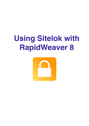# **Using Sitelok with RapidWeaver 8**

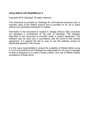# **Using Sitelok with RapidWeaver 8**

Copyright 2018 Vibralogix. All rights reserved.

This document is provided by Vibralogix for informational purposes only to licensed users of the Sitelok product and is provided on an 'as is' basis without any warranties expressed or implied.

Information in this document is subject to change without notice and does not represent a commitment on the part of Vibralogix. The software described in this document is provided under a license agreement. The software may be used only in accordance with the terms of that license agreement. It is against the law to copy or use the software except as specifically allowed in the license.

It is the users responsibility to ensure the suitability of Sitelok before using it. In no circumstances will Vibralogix be responsible for any loss or damage of data or programs as a result of using Linklok. Your use of Sitelok implies acceptance of these terms.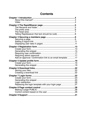# **Contents**

| Add an approval / confirmation link to an email template17 |  |
|------------------------------------------------------------|--|
|                                                            |  |
|                                                            |  |
|                                                            |  |
|                                                            |  |
|                                                            |  |
|                                                            |  |
|                                                            |  |
|                                                            |  |
| Replacing the login template with your login page 27       |  |
|                                                            |  |
|                                                            |  |
|                                                            |  |
|                                                            |  |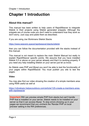# <span id="page-3-0"></span>**Chapter 1 Introduction**

# <span id="page-3-1"></span>**About this manual?**

This manual has been written to help users of RapidWeaver to integrate Sitelok in their projects using Sitelok generated snippets. Although the snippets are of course code you don't need to understand how they work so don't worry. Just copy and paste them as described.

If you are using Joe Workmans Sitelok Stacks

<https://www.weavers.space/rapidweaver/stacks/sitelok>

then you can follow the documentation provided with the stacks instead of this manual.

This manual is not meant to replace the main Sitelok Manual but really to explain RapidWeaver specific points. We assume that you have installed Sitelok 5.5 or above on your server already and that it is working properly. If you need any help installing Sitelok on your server just let us know.

As Sitelok uses PHP and Mysql you won't be able to test the functionality of your pages within RapidWeaver. You must publish you site to test the pages.

### <span id="page-3-2"></span>**Video**

You may also find our video showing the creation of a simple members area using RW8 useful as well at

[https://vibralogix.helpscoutdocs.com/article/125-create-a-members-area](https://vibralogix.helpscoutdocs.com/article/125-create-a-members-area-with-rapidweaver)[with-rapidweaver](https://vibralogix.helpscoutdocs.com/article/125-create-a-members-area-with-rapidweaver)

**Important** RW can preview simple PHP from stacks but can't handle PHP that is installed on your server. Sitelok needs to be installed on your server so that it can access Mysql. To stop errors showing up in your pages we recommend that you uncheck the 'Render PHP on local preview' setting in the RW preferences.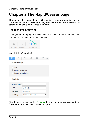# <span id="page-4-0"></span>**Chapter 2 The RapidWeaver page**

Throughout this manual we will mention various properties of the Rapidweaver page. To save repeating the same instructions to access that part of the page we will describe them here.

# <span id="page-4-1"></span>**The filename and folder**

When you create a page in Rapidweaver it will give it a name and place it in a folder. To see those open the inspector



and click the General tab.

| ⊞        |                                                                 |           |                 |  | O) | гO |
|----------|-----------------------------------------------------------------|-----------|-----------------|--|----|----|
|          | <b>General Settings</b>                                         |           |                 |  |    |    |
|          | <b>Draft</b><br>$\vee$ Show in navigation<br>Open in new window |           |                 |  |    |    |
|          | <b>Meta Data</b>                                                |           |                 |  |    |    |
|          | <b>Browser Title</b>                                            |           |                 |  |    |    |
|          | Folder<br>coffeeclub                                            |           |                 |  |    |    |
| Filename |                                                                 | index.php |                 |  |    |    |
| Encoding |                                                                 |           | Unicode (UTF-8) |  | ≎  |    |

Sitelok normally requires the Filename to have the .php extension so if the filename ends in .html just change it to .php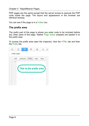PHP pages are the same except that the server knows to execute the PHP code inside the page. The layout and appearance in the browser are identical anyway.

You can see if the page is in a Folder too.

# <span id="page-5-0"></span>**The prefix area**

The prefix part of the page is where you enter code to be included before any other parts of the page. Sitelok Page Setup snippets are pasted in to the prefix area.

To access the prefix area open the inspector, click the HTML tab and then the Prefix tab.

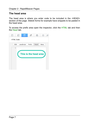# <span id="page-6-0"></span>**The head area**

The head area is where you enter code to be included in the <HEAD> section of the page. Sitelok forms for example have snippets to be pasted in the head area.

To access the prefix area open the inspector, click the HTML tab and then the Head tab.

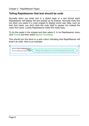# <span id="page-7-0"></span>**Telling Rapidweaver that text should be code**

Normally when you enter text in a styled page or a text format stack Rapidweaver will display the text exactly as its entered. Normally thats fine but when you paste in a code snippet to display some user data, such as their first name, you don't what the code itself to appear but instead the users first name. Luckily Rapidweaver make this really easy.

To do this paste in the snippet and then select it. In he Rapidweaver menu click Format and then select Ignore Formatting.

This should turn the block to a pink colour indicating that RapidWeaver will treat it as code. Here is an example.

| Welcome php echo \$slfirstname_html: ?<br>Notice this snippet is now pink showing that its code<br>This is our members only coffee club page. |  |
|-----------------------------------------------------------------------------------------------------------------------------------------------|--|
|                                                                                                                                               |  |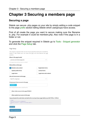# <span id="page-8-0"></span>**Chapter 3 Securing a members page**

# <span id="page-8-1"></span>**Securing a page**

Sitelok can secure .php pages on your site by simply adding a code snippet to the page prefix section telling Sitelok which usergroups have access.

First of all create the page you want to secure making sure the filename is .php. For example it could be members.php. Also note if the page is in a folder or not.

To generate the snippet required in Sitelok go to Tools - Snippet generator and click the Page Setup tab.

| Page Setup                                                                                                                                                                         |                                                                                                          |
|------------------------------------------------------------------------------------------------------------------------------------------------------------------------------------|----------------------------------------------------------------------------------------------------------|
| This snippet is required at the very top of every page that needs to be controlled by<br>Sitelok. It tells Sitelok who can access the page and what features the page<br>contains. |                                                                                                          |
| Where is the page located                                                                                                                                                          |                                                                                                          |
| yoursite.com/folder/page.php                                                                                                                                                       |                                                                                                          |
| Is the page in the root of your site or in a folder?                                                                                                                               |                                                                                                          |
| What will be on this page                                                                                                                                                          |                                                                                                          |
| <b>Members only content</b>                                                                                                                                                        | <b>Registration forms</b>                                                                                |
| <b>Update profile forms</b>                                                                                                                                                        | <b>Contact forms</b>                                                                                     |
| <b>Login forms</b>                                                                                                                                                                 | Login forms with redirect                                                                                |
| Who will have access to this page                                                                                                                                                  |                                                                                                          |
| Specific usergroups                                                                                                                                                                |                                                                                                          |
| Usergroups to have access to the page<br>MEMBER x                                                                                                                                  |                                                                                                          |
| Type usergroup & press enter or select from list<br>Allow visitor access to the page (PUBLIC)                                                                                      |                                                                                                          |
| Allow expired user access to the page                                                                                                                                              |                                                                                                          |
|                                                                                                                                                                                    | Copy and paste the code below and add to the very top of your page (before any DOCTYPE or <html>)</html> |
| $<$ ?php<br>\$groupswithaccess="MEMBER";<br>require_once("/slpw/sitelokpw.php");<br>7>                                                                                             |                                                                                                          |
| Select code                                                                                                                                                                        |                                                                                                          |
|                                                                                                                                                                                    |                                                                                                          |
| Return to dashboard                                                                                                                                                                |                                                                                                          |
|                                                                                                                                                                                    |                                                                                                          |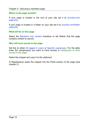#### **Where is the page located?**

If your page is located in the root of your site set it to yoursite.com/ page.php.

If your page is located in a folder on your site set it to yoursite.com/folder/ page.php.

#### **What will be on this page**

Select the Members only content checkbox to tell Sitelok that the page contains content to secure.

#### **Who will have access to the page**

Set this to either All logged in users or Specific usergroups. For the latter enter the usergroup(s) you want to have access in Usergroups to have access to the page.

Select the snippet and copy it to the clipboard.

In Rapidweaver paste the snippet into the Prefix section of the page (see chapter 2).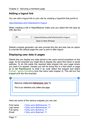# <span id="page-10-0"></span>**Adding a logout link**

You can add a logout link to your site by creating a hyperlink that points to

/slpw/sitelokpw.php?sitelokaction=logout

When creating a link in RapidWeaver make sure you select the link type as URL like this

| URL                | ↓ /slpw/sitelokpw.php?sitelokaction=logout |
|--------------------|--------------------------------------------|
| Open in New Window |                                            |

Sitelok's snippet generator can also provide this link and also has an option to override the default page the user is sent to after logout.

# <span id="page-10-1"></span>**Displaying user data in pages**

Sitelok lets you display any data stored in the users record anywhere on the page. So for example you might like to display the users first name or email address. To do this paste the required data snippet into your page where you want it to appear. Usually you will be doing this in a text stack or page so to tell Rapidweaver to treat it as code select the snippet and select Format - Ignore formatting from the menu (see chapter 2). This will turn the snippet pink like this example



Here are some of the various snippets you can use

| First name | php echo \$slfirstname; ? |
|------------|---------------------------|
| Last name  | php echo \$sllastname; ?  |
| Full name  | php echo \$slname; ?      |
| Email      | php echo \$slemail; ?     |
|            |                           |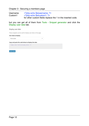# Chapter 3 - Securing a members page

Username <?php echo \$slusername; ?><br>Custom1 <?php echo \$slcustom1: ?> <? php echo \$slcustom1; ?> for other custom fields replace the 1 in the inserted code.

but you can get all of them from Tools - Snippet generator and click the Display user data tab.

 $\ddot{}$ 

Display user data

These snippets can be used to display user data on the page.

#### User data to display

First name

#### Copy and paste the code below to display the data

<? php echo \$slfirstname html; ?>

Select code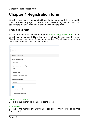# <span id="page-12-0"></span>**Chapter 4 Registration form**

Sitelok allows you to create and edit registration forms ready to be added to your Rapidweaver page. You should also create a registration thank you page where the user will be sent after they submit the form.

# <span id="page-12-1"></span>**Create your form**

To create or edit a registration form go to Forms - Registration forms in the Sitelok control panel. Editing the form is straightforward and the main Sitelok manual has more information about that. We will take a closer look at the form properties section here though.

| Form name                         |   |  |  |
|-----------------------------------|---|--|--|
| Sign Up                           |   |  |  |
| - Form properties                 |   |  |  |
| Group to add user to              |   |  |  |
| MEMBER                            | ÷ |  |  |
| Expiry days (0 for no expiry)     |   |  |  |
| 365                               |   |  |  |
| Thankyou page                     |   |  |  |
| /coffeeclub/thankyou.php          |   |  |  |
| <b>Initial account status</b>     |   |  |  |
| Enabled                           | ÷ |  |  |
| Send email to user<br>newuser.htm |   |  |  |
| Send email to admin               |   |  |  |

#### Group to add user to

Set this to the usergroup the user is going to join

#### Expiry days

Set this to the number of days the user can access this usergroup for. Use 0 for no expiry.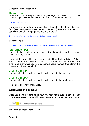#### Thankyou page

Enter the URL of the registration thank you page you created. Don't bother with the https://www.yoursite.com part so just enter something like

#### /folder/thankyou.php

If you want to have the user automatically logged in after they submit the form (assuming you don't need email confirmation) then point the thankyou page URL to a secured page and add this to the URL

?username=!!!username!!!&password=!!!passwordhash!!!

So for example

/folder/thankyou.php?username=!!!username!!!&password=!!!passwordhash!!!

#### Initial account status

If you set this to enabled the user account will be created and the user can access it straightaway.

If you set this to disabled then the account will be disabled initially. This is ideal if you want the user to have to activate the account to prove their email is valid or where you want to approve users yourself. See later in this chapter about how to do that.

#### Send email to user

You can select the email template that will be sent to the user here.

#### Send email to admin

You can select the email template that will be sent to the admin here.

Remember to save your changes.

# <span id="page-13-0"></span>**Generating the snippet**

Once you have the form setup how you wish make sure its saved. Then click the Generate code icon  $\Box$  next to the required form in the list of forms.

 $\Box$   $C$  that  $\Box$   $X$ Example for register.php 1

to see the snippet generator form.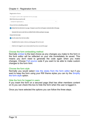# Chapter 4 - Registration form

| <b>Registration forms</b>                                                                       |
|-------------------------------------------------------------------------------------------------|
| This snippet is used to add a registration form to your page.                                   |
| Which form do you want to add                                                                   |
| Example for register.php (1)<br>٠                                                               |
| Choose the form embedding method                                                                |
| Embed the form directly in my page. Changes to your form will appear automatically in the page. |
| Generate full source code that can edited further before pasting in my page.                    |
| Choose the form style                                                                           |
| Use the styles from the form editor.                                                            |
| Simplify the form style so that my existing page CSS can be used.                               |
| Hide form for logged in users (only needed if you have secured the page)                        |

#### Choose the form embedding method

Normally embed is the best choice as any changes you make to the form in the form editor will be reflected on your site immediately its saved. This means you don't need to generate the code again when you make changes. Choose Full source code if you want to be able to make custom changes to the form html.

#### Choose the form style

Normally you would select Use the styles from the form editor but if you want to keep the form using your RW theme styles you can try the Simplify the form style option.

#### Hide the form for logged in users

If you insert the form on a secured page (that has other members content on it) you can check this box to hide the form when the user is logged in.

Once you have selected the options you can follow the three steps.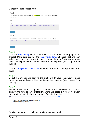# Chapter 4 - Registration form

#### Step1

Ensure that the page you want to add the form to has a **Page Setup** snippet that includes the **Registration** forms option

#### Step2

Copy and paste the code below to the <HFAD> section of your page



#### Select code

#### Step 1

Click the Page Setup link in step 1 which will take you to the page setup snippet. Make sure this has the Registration forms checkbox set and then select and copy the snippet to the clipboard. In your Rapidweaver page paste the snippet into the Prefix section of the inspector (see chapter 2 for details).

Click the Registration forms tab on the left to return to the registration form steps

#### Step 2

Select the snippet and copy to the clipboard. In your Rapidweaver page paste the snippet into the Head section of the inspector (see chapter 2 for details).

### Step 3

Select the snippet and copy to the clipboard. This is the snoppet to actually displays the form so in your Rapidweaver page paste it in where you want the form to appear. Its best to use an HTML stack for this.



Publish your page to check the form is working as needed.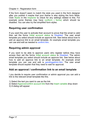# Chapter 4 - Registration form

If the form doesn't seem to match the style you used in the form designer after you publish it maybe that your theme is also styling the form fields. Click Styles in the Inspector to check for any settings related to this. For example some themes may have (uniform | forms) which should be disabled. You can also try the simplified form styles.

# <span id="page-16-0"></span>**Requiring user confirmation**

If you want the user to activate their account to prove that the email is valid then set the forms Initial account status to Disabled. The user email template you select should include an approve link. See below about how to add an approve link to an email template. An example email template you can use and edit as needed is confirm htm.

# <span id="page-16-1"></span>**Requiring admin approval**

If you want to be able to approve users who register before they have access then set the forms Initial account status to Disabled. The admin email template you select should include an approve link. See below about how to add an approve link to an email template. An example email template you can use and edit is pendingadmin.htm. The user email template should explain that they need to wait for approval.

# <span id="page-16-2"></span>**Add an approval / confirmation link to an email template**

I you decide to require user confirmation or admin approval you can add a link to the relevant email template like this.

- 1) Select the text you want to use as the link
- 2) Select Approve/confirm account link from the Insert variable drop down
- 3) A dialog will appear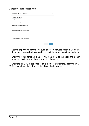| Approve/confirm account link                               |        | $\times$ |
|------------------------------------------------------------|--------|----------|
| Link valid for (minutes)<br>1440<br>Set to 0 for no expiry |        |          |
| User email template (blank for none)                       |        |          |
| Admin email template (blank for none)                      |        |          |
| <b>Redirect page URL</b>                                   |        |          |
| https://www.yoursite.com/approved.php                      |        |          |
|                                                            |        |          |
|                                                            | Cancel | Insert   |

Set the expiry time for the link such as 1440 minutes which is 24 hours. Keep this time as short as possible especially for user confirmation links.

Enter the email template names you want sent to the user and admin when the link is clicked. Leave blank if not needed.

Enter the full URL to the page to take the user to after they click the link. 4) Click Insert and the link is created. Save the template.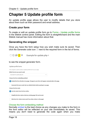# <span id="page-18-0"></span>**Chapter 5 Update profile form**

An update profile page allows the user to modify details that you store about them such as their password and email address.

# <span id="page-18-1"></span>**Create your form**

To create or edit an update profile form go to Forms - Update profile forms in the Sitelok control panel. Editing the form is straightforward and the main Sitelok manual has more information about that.

# <span id="page-18-2"></span>**Generating the snippet**

Once you have the form setup how you wish make sure its saved. Then click the Generate code icon  $\blacksquare$  next to the required form in the list of forms.



# Choose the form embedding method

Normally embed is the best choice as any changes you make to the form in the form editor will be reflected on your site immediately its saved. This means you don't need to generate the code again when you make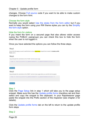### Chapter 5 - Update profile form

changes. Choose Full source code if you want to be able to make custom changes to the form html.

#### Choose the form style

Normally you would select Use the styles from the form editor but if you want to keep the form using your RW theme styles you can try the Simplify the form style option.

#### Hide the form for visitors

If you insert the form on a secured page that also allows visitor access (using the PUBLIC usergroup) you can check this box to hide the form when the user is not logged in.

Once you have selected the options you can follow the three steps.

#### Step1

Ensure that the page you want to add the form to has a Page Setup snippet that includes the Update profile forms option

#### Step2

Copy and paste the code below to the <HEAD> section of your page

<?php if (function exists('sl updateformhead')) sl updateformhead(4, false); ?>

#### Select code

#### Step3

Copy and paste the code below to the <BODY> section of your page where you want the form to appear



### Step 1

Click the Page Setup link in step 1 which will take you to the page setup snippet. Make sure this has the Update profile forms checkbox set and then select and copy the snippet to the clipboard. In your Rapidweaver page paste the snippet into the Prefix section of the inspector (see chapter 2 for details).

Click the Update profile forms tab on the left to return to the update profile form steps

#### Step 2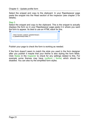Select the snippet and copy to the clipboard. In your Rapidweaver page paste the snippet into the Head section of the inspector (see chapter 2 for details).

# Step 3

Select the snippet and copy to the clipboard. This is the snippet to actually displays the form so in your Rapidweaver page paste it in where you want the form to appear. Its best to use an HTML stack for this.



Publish your page to check the form is working as needed.

If the form doesn't seem to match the style you used in the form designer after you publish it maybe that your theme is also styling the form fields. Click Styles in the Inspector to check for any settings related to this. For example some themes may have (uniform | forms) which should be disabled. You can also try the simplified form styles.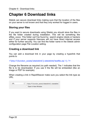# <span id="page-21-0"></span>**Chapter 6 Download links**

Sitelok can secure download links making sure that the location of the files on your server is not known and that they only worked for logged in users.

# <span id="page-21-1"></span>**Storing your files**

If you want to secure downloads using Sitelok you should store the files in the file folder created during installation. This will be something like slfiles xxxxx. This folder can't be found by search engine robots or hackers and if your server supports htaccess will not have direct internet access either for further security. You can find the folder name in the Sitelok admin configuration page File Location setting.

# <span id="page-21-2"></span>**Creating a download link**

You can add a download link in your page by creating a hyperlink that points to

<?php if (function\_exists('siteloklink')) siteloklink('testfile.zip',1); ?>

Change the filename as required (no path needed). The 1 indicates that the file is to be downloaded. If you use 0 the file will be embedded (like an image or PDF for example).

When creating a link in RapidWeaver make sure you select the link type as URL.

| URL | ↓ php if (function_exists('siteloklink')) siteloklink</th |
|-----|-----------------------------------------------------------|
|     | Open in New Window                                        |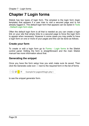# <span id="page-22-0"></span>**Chapter 7 Login forms**

Sitelok has two types of login form. The simplest is the login form (login template) that appears if a user tries to visit a secured page and is not already logged in. The default login form that appears can be styled in Tools - Default Login form style.

Often the default login form is all that is needed as you can create a login link on your site that simply links to a secured page to force the login form to appear when necessary. However in some cases you may prefer to have a login form on one or more of your pages and this can be done as follows.

# <span id="page-22-1"></span>**Create your form**

To create or edit a login form go to Forms - Login forms in the Sitelok control panel. Editing the form is straightforward and the main Sitelok manual has more information about that.

# <span id="page-22-2"></span>**Generating the snippet**

Once you have the form setup how you wish make sure its saved. Then click the Generate code icon  $\blacksquare$  next to the required form in the list of forms



to see the snippet generator form.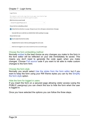# Chapter 7 - Login forms

#### Login forms

This snippet is used to add a login form to your page. Ensure that the Page

| Setup snippet you have use included the Login forms option.                                     |  |
|-------------------------------------------------------------------------------------------------|--|
| Which form do you want to add                                                                   |  |
| Example for pagewithlogin.php (5)<br>٠                                                          |  |
| Choose the form embedding method                                                                |  |
| Embed the form directly in my page. Changes to your form will appear automatically in the page. |  |
| Generate full source code that can edited further before pasting in my page.                    |  |
| <b>Choose the form style</b>                                                                    |  |
| Use the styles from the form editor.                                                            |  |
| Simplify the form style so that my existing page CSS can be used.                               |  |
| Hide form for logged in users (only needed if you have secured the page)                        |  |

#### Choose the form embedding method

Normally embed is the best choice as any changes you make to the form in the form editor will be reflected on your site immediately its saved. This means you don't need to generate the code again when you make changes. Choose Full source code if you want to be able to make custom changes to the form html.

#### Choose the form style

Normally you would select Use the styles from the form editor but if you want to keep the form using your RW theme styles you can try the Simplify the form style option.

#### Hide the form for logged in users

If you insert the form on a secured page allowing visitor access (using the PUBLIC usergroup) you can check this box to hide the form when the user is logged in.

Once you have selected the options you can follow the three steps.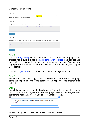# Chapter 7 - Login forms

#### Step1

Ensure that the page you want to add the form to has a Page Setup snippet that includes the Login forms or Login forms with redirect option.

### Step2

Copy and paste the code below to the <HEAD> section of your page

```
<?php if (function exists('sl loginformhead')) sl loginformhead(5, false); ?>
```
### Step3

Copy and paste the code below to the <BODY> section of your page where you want the form to appear



#### Select code

#### Step 1

Click the Page Setup link in step 1 which will take you to the page setup snippet. Make sure this has the Login forms with redirect checkbox set and then select and copy the snippet to the clipboard. In your Rapidweaver page paste the snippet into the Prefix section of the inspector (see chapter 2 for details).

Click the Login forms tab on the left to return to the login form steps

### Step 2

Select the snippet and copy to the clipboard. In your Rapidweaver page paste the snippet into the Head section of the inspector (see chapter 2 for details).

### Step 3

Select the snippet and copy to the clipboard. This is the snippet to actually displays the form so in your Rapidweaver page paste it in where you want the form to appear. Its best to use an HTML stack for this.

```
<?php if (function_exists('sl_loginformbody')) sl_loginformbody(11,false,
Smsg); ?
```
Publish your page to check the form is working as needed.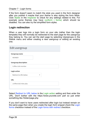If the form doesn't seem to match the style you used in the form designer after you publish it maybe that your theme is also styling the form fields. Click Styles in the Inspector to check for any settings related to this. For example some themes may have (uniform | forms) which should be disabled. You can also try the simplified form styles.

# <span id="page-25-0"></span>**Login redirection**

When a user logs into a login form on your site (rather than the login template) they will normally be redirected to the start page for the usergroup they belong to. You can set the start page by selecting Usergroups in the Sitelok menu and either creating a new usergroup or editing an existing one.

| Edit usergroup               |  |
|------------------------------|--|
| <b>Usergroup name</b>        |  |
| MEMBER                       |  |
| <b>Usergroup description</b> |  |
| Coffee club member           |  |
| Login action                 |  |
| Redirect to URL below        |  |
| URL                          |  |
| /coffeeclub/index.php        |  |
|                              |  |

Select Redirect to URL below in the Login action setting and then enter the URL. Don't bother with the https://www.yoursite.com part so just enter something like /folder/page.php

If you don't want to have users redirected after login but instead remain on the same page then when you create the login form snippet check the Login forms checkbox instead of the Login forms with redirect checkbox.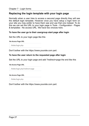# <span id="page-26-0"></span>**Replacing the login template with your login page**

Normally when a user tries to access a secured page directly they will see the default login template. However once you have setup a login form on your site you may prefer to have them see and use that one instead. To do this we can set the URL to your login page in Tools - Configuration - Pages & templates - No access URL. We have two choices here.

### **To have the user go to their usergroup start page after login**

Set the URL to your login page like this

**No Access Page URL** 

/folder/login.php

Don't bother with the https://www.yoursite.com part.

### **To have the user return to the requested page after login**

Set the URL to your login page and add ?redirect=page the end like this

**No Access Page URL** 

/folder/login.php?redirect=page

**No Access Page URL** 

/folder/login.php

Don't bother with the https://www.yoursite.com part.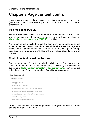# <span id="page-27-0"></span>**Chapter 8 Page content control**

If you secure pages to allow access to multiple usergroups or to visitors (using the PUBLIC usergroup) you can control the content visible to different users.

# <span id="page-27-1"></span>**Making a page PUBLIC**

You can allow visitor access to a secured page by securing it in the usual way as described in 'Securing a members page' and also checking the Allow visitor access to the page (PUBLIC) checkbox.

Now when someone visits the page the login form won't appear as it does with other secured pages. Instead the user will be able to see the page as a PUBLIC user. If you have a login form on the page they can login to change their status on the page to a member or be redirected depending on what you set.

# <span id="page-27-2"></span>**Control content based on the user**

On a secured page (even those allowing visitor access) you can control what content can be seen by users depending on who they are. The snippet generator at Tools - Snippet generator - Page content control can create the snippets needed. There are a number of conditions you can use

#### Show the content only

| for logged in users                                |
|----------------------------------------------------|
| for logged in users                                |
| for visitors (not logged in)                       |
| for members of ANY of the following usergroups     |
| for members of ALL of the following usergroups     |
| for members not in any of the following usergroups |
| for the following users                            |
| for all users except for the following             |

In each case two snippets will be generated. One goes before the content and the other after the content.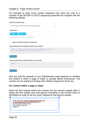For example to have some content displayed only when the user is a member of the SILVER or GOLD usergroups generate the snippets with the following settings.

Show the content only for members of ANY of the following usergroups **Usergroups** SILVER<sub>x</sub> GOLD<sub>x</sub> Type usergroup & press enter or select from list Ignore expiration date for usergroups Copy and paste the code below before your content <?php if ((function exists('sl isactivememberofany')) && (sl isactivememberofany("SILVER, GOLD"))) { ?> Select code Copy and paste the code below after your content



How you add the snippets to your Rapidweaver page depends on whether the content is within a page or stack or actually stacks themselves. The content can be anything including other Sitelok snippets for forms etc.

### **For content within a page or stack**

Paste the first snippet before the content and the second snippet after it. Select the first snippet and click Ignore Formatting in the Format menu to tell Sitelok its code (it will turn pink). Repeat for the second snippet

```
<?php if ((function_exists('sl_isactivememberofany')) &&
(sl_isactivememberofany("SILVER, GOLD"))) { ?>
You are a gold or silver member
and only you will see this.
<?php ?>
```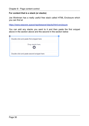### **For content that is a stack (or stacks)**

Joe Workman has a really useful free stack called HTML Enclosure which you can find at

<https://www.weavers.space/rapidweaver/stacks/html-enclosure>

You can add any stacks you want to it and then paste the first snippet above in the section above and the second in the section below

| Double click and paste first snippet here |                   |  |
|-------------------------------------------|-------------------|--|
|                                           | Drop stacks here. |  |
|                                           |                   |  |
|                                           |                   |  |